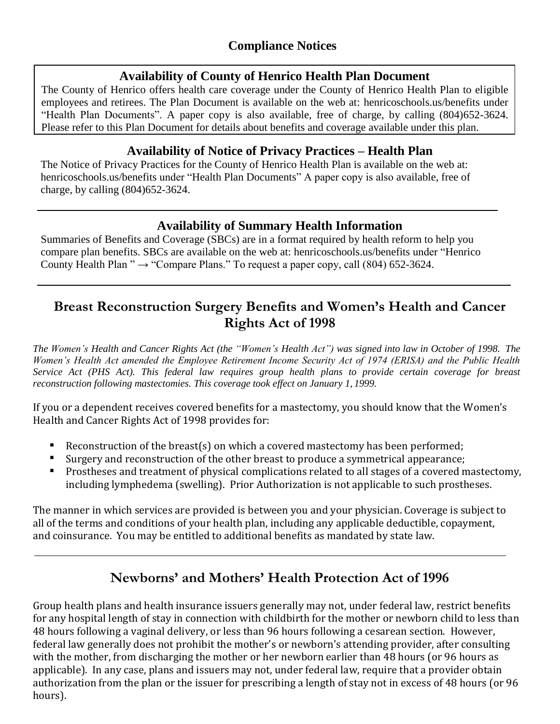### **Availability of County of Henrico Health Plan Document**

The County of Henrico offers health care coverage under the County of Henrico Health Plan to eligible employees and retirees. The Plan Document is available on the web at: henricoschools.us/benefits under "Health Plan Documents". A paper copy is also available, free of charge, by calling (804)652-3624. Please refer to this Plan Document for details about benefits and coverage available under this plan.

## **Availability of Notice of Privacy Practices – Health Plan**

The Notice of Privacy Practices for the County of Henrico Health Plan is available on the web at: henricoschools.us/benefits under "Health Plan Documents" A paper copy is also available, free of charge, by calling (804)652-3624.

## **Availability of Summary Health Information**

Summaries of Benefits and Coverage (SBCs) are in a format required by health reform to help you compare plan benefits. SBCs are available on the web at: henricoschools.us/benefits under "Henrico County Health Plan "  $\rightarrow$  "Compare Plans." To request a paper copy, call (804) 652-3624.

## **Breast Reconstruction Surgery Benefits and Women's Health and Cancer Rights Act of 1998**

The Women's Health and Cancer Rights Act (the "Women's Health Act") was signed into law in October of 1998. The *Women's Health Act amended the Employee Retirement Income Security Act of 1974 (ERISA) and the Public Health Service Act (PHS Act). This federal law requires group health plans to provide certain coverage for breast reconstruction following mastectomies. This coverage took effect on January 1, 1999.*

If you or a dependent receives covered benefits for a mastectomy, you should know that the Women's Health and Cancer Rights Act of 1998 provides for:

- Reconstruction of the breast(s) on which a covered mastectomy has been performed;
- Surgery and reconstruction of the other breast to produce a symmetrical appearance;
- Prostheses and treatment of physical complications related to all stages of a covered mastectomy, including lymphedema (swelling). Prior Authorization is not applicable to such prostheses.

The manner in which services are provided is between you and your physician. Coverage is subject to all of the terms and conditions of your health plan, including any applicable deductible, copayment, and coinsurance. You may be entitled to additional benefits as mandated by state law.

# **Newborns' and Mothers' Health Protection Act of 1996**

Group health plans and health insurance issuers generally may not, under federal law, restrict benefits for any hospital length of stay in connection with childbirth for the mother or newborn child to less than 48 hours following a vaginal delivery, or less than 96 hours following a cesarean section. However, federal law generally does not prohibit the mother's or newborn's attending provider, after consulting with the mother, from discharging the mother or her newborn earlier than 48 hours (or 96 hours as applicable). In any case, plans and issuers may not, under federal law, require that a provider obtain authorization from the plan or the issuer for prescribing a length of stay not in excess of 48 hours (or 96 hours).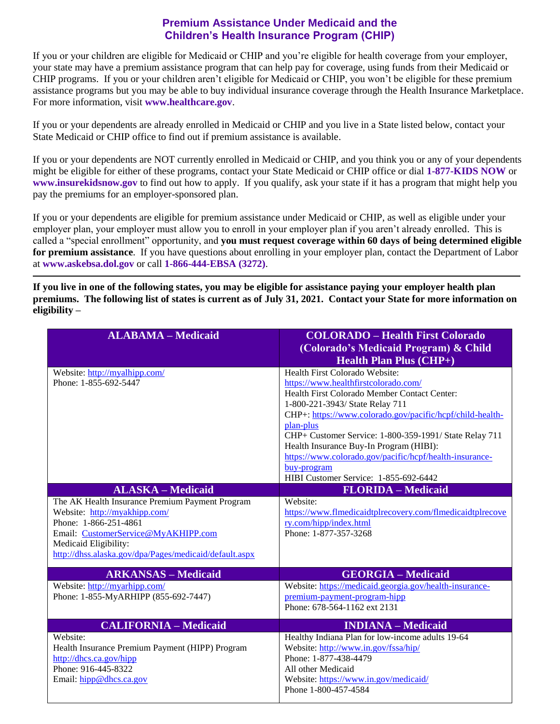#### **Premium Assistance Under Medicaid and the Children's Health Insurance Program (CHIP)**

If you or your children are eligible for Medicaid or CHIP and you're eligible for health coverage from your employer, your state may have a premium assistance program that can help pay for coverage, using funds from their Medicaid or CHIP programs. If you or your children aren't eligible for Medicaid or CHIP, you won't be eligible for these premium assistance programs but you may be able to buy individual insurance coverage through the Health Insurance Marketplace. For more information, visit **[www.healthcare.gov](http://www.healthcare.gov/)**.

If you or your dependents are already enrolled in Medicaid or CHIP and you live in a State listed below, contact your State Medicaid or CHIP office to find out if premium assistance is available.

If you or your dependents are NOT currently enrolled in Medicaid or CHIP, and you think you or any of your dependents might be eligible for either of these programs, contact your State Medicaid or CHIP office or dial **1-877-KIDS NOW** or **[www.insurekidsnow.gov](http://www.insurekidsnow.gov/)** to find out how to apply. If you qualify, ask your state if it has a program that might help you pay the premiums for an employer-sponsored plan.

If you or your dependents are eligible for premium assistance under Medicaid or CHIP, as well as eligible under your employer plan, your employer must allow you to enroll in your employer plan if you aren't already enrolled. This is called a "special enrollment" opportunity, and **you must request coverage within 60 days of being determined eligible for premium assistance**. If you have questions about enrolling in your employer plan, contact the Department of Labor at **[www.askebsa.dol.gov](http://www.askebsa.dol.gov/)** or call **1-866-444-EBSA (3272)**.

**If you live in one of the following states, you may be eligible for assistance paying your employer health plan premiums. The following list of states is current as of July 31, 2021. Contact your State for more information on eligibility –**

| <b>ALABAMA - Medicaid</b>                                                                                                                                                                                                           | <b>COLORADO - Health First Colorado</b><br>(Colorado's Medicaid Program) & Child<br><b>Health Plan Plus <math>(CHP+)</math></b>                                                                                                                                                                                                                                                                                                                             |
|-------------------------------------------------------------------------------------------------------------------------------------------------------------------------------------------------------------------------------------|-------------------------------------------------------------------------------------------------------------------------------------------------------------------------------------------------------------------------------------------------------------------------------------------------------------------------------------------------------------------------------------------------------------------------------------------------------------|
| Website: http://myalhipp.com/<br>Phone: 1-855-692-5447                                                                                                                                                                              | Health First Colorado Website:<br>https://www.healthfirstcolorado.com/<br>Health First Colorado Member Contact Center:<br>1-800-221-3943/ State Relay 711<br>CHP+: https://www.colorado.gov/pacific/hcpf/child-health-<br>plan-plus<br>CHP+ Customer Service: 1-800-359-1991/ State Relay 711<br>Health Insurance Buy-In Program (HIBI):<br>https://www.colorado.gov/pacific/hcpf/health-insurance-<br>buy-program<br>HIBI Customer Service: 1-855-692-6442 |
| <b>ALASKA - Medicaid</b>                                                                                                                                                                                                            | <b>FLORIDA - Medicaid</b>                                                                                                                                                                                                                                                                                                                                                                                                                                   |
| The AK Health Insurance Premium Payment Program<br>Website: http://myakhipp.com/<br>Phone: 1-866-251-4861<br>Email: CustomerService@MyAKHIPP.com<br>Medicaid Eligibility:<br>http://dhss.alaska.gov/dpa/Pages/medicaid/default.aspx | Website:<br>https://www.flmedicaidtplrecovery.com/flmedicaidtplrecove<br>ry.com/hipp/index.html<br>Phone: 1-877-357-3268                                                                                                                                                                                                                                                                                                                                    |
| <b>ARKANSAS - Medicaid</b>                                                                                                                                                                                                          | <b>GEORGIA - Medicaid</b>                                                                                                                                                                                                                                                                                                                                                                                                                                   |
| Website: http://myarhipp.com/<br>Phone: 1-855-MyARHIPP (855-692-7447)                                                                                                                                                               | Website: https://medicaid.georgia.gov/health-insurance-<br>premium-payment-program-hipp<br>Phone: 678-564-1162 ext 2131                                                                                                                                                                                                                                                                                                                                     |
| <b>CALIFORNIA - Medicaid</b>                                                                                                                                                                                                        | <b>INDIANA</b> – Medicaid                                                                                                                                                                                                                                                                                                                                                                                                                                   |
| Website:<br>Health Insurance Premium Payment (HIPP) Program<br>http://dhcs.ca.gov/hipp<br>Phone: 916-445-8322<br>Email: hipp@dhcs.ca.gov                                                                                            | Healthy Indiana Plan for low-income adults 19-64<br>Website: http://www.in.gov/fssa/hip/<br>Phone: 1-877-438-4479<br>All other Medicaid<br>Website: https://www.in.gov/medicaid/<br>Phone 1-800-457-4584                                                                                                                                                                                                                                                    |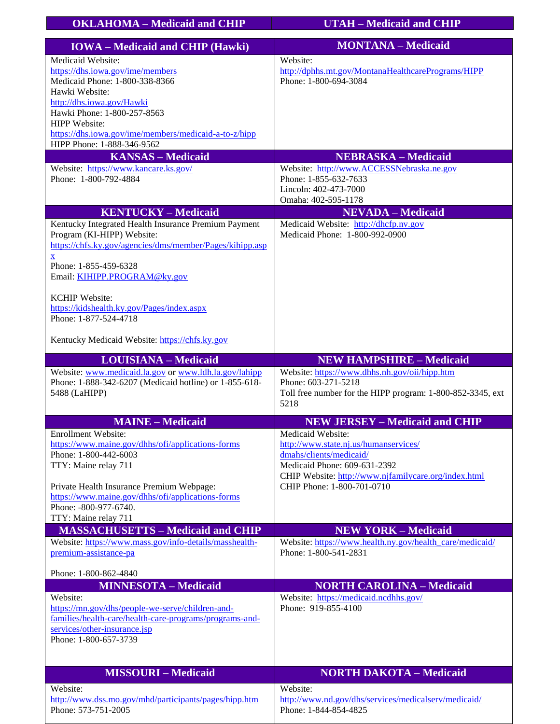| <b>OKLAHOMA - Medicaid and CHIP</b>                                                                                                                            | <b>UTAH - Medicaid and CHIP</b>                                                                                                            |
|----------------------------------------------------------------------------------------------------------------------------------------------------------------|--------------------------------------------------------------------------------------------------------------------------------------------|
|                                                                                                                                                                | <b>MONTANA - Medicaid</b>                                                                                                                  |
| <b>IOWA</b> – Medicaid and CHIP (Hawki)                                                                                                                        |                                                                                                                                            |
| Medicaid Website:<br>https://dhs.iowa.gov/ime/members<br>Medicaid Phone: 1-800-338-8366<br>Hawki Website:                                                      | Website:<br>http://dphhs.mt.gov/MontanaHealthcarePrograms/HIPP<br>Phone: 1-800-694-3084                                                    |
| http://dhs.iowa.gov/Hawki<br>Hawki Phone: 1-800-257-8563<br><b>HIPP</b> Website:                                                                               |                                                                                                                                            |
| https://dhs.iowa.gov/ime/members/medicaid-a-to-z/hipp<br>HIPP Phone: 1-888-346-9562                                                                            |                                                                                                                                            |
| <b>KANSAS - Medicaid</b>                                                                                                                                       | <b>NEBRASKA – Medicaid</b>                                                                                                                 |
| Website: https://www.kancare.ks.gov/<br>Phone: 1-800-792-4884                                                                                                  | Website: http://www.ACCESSNebraska.ne.gov<br>Phone: 1-855-632-7633<br>Lincoln: 402-473-7000<br>Omaha: 402-595-1178                         |
| <b>KENTUCKY-Medicaid</b>                                                                                                                                       | <b>NEVADA</b> - Medicaid                                                                                                                   |
| Kentucky Integrated Health Insurance Premium Payment<br>Program (KI-HIPP) Website:<br>https://chfs.ky.gov/agencies/dms/member/Pages/kihipp.asp<br>$\mathbf{x}$ | Medicaid Website: http://dhcfp.nv.gov<br>Medicaid Phone: 1-800-992-0900                                                                    |
| Phone: 1-855-459-6328<br>Email: KIHIPP.PROGRAM@ky.gov                                                                                                          |                                                                                                                                            |
| <b>KCHIP Website:</b><br>https://kidshealth.ky.gov/Pages/index.aspx<br>Phone: 1-877-524-4718                                                                   |                                                                                                                                            |
| Kentucky Medicaid Website: https://chfs.ky.gov                                                                                                                 |                                                                                                                                            |
| <b>LOUISIANA - Medicaid</b>                                                                                                                                    | <b>NEW HAMPSHIRE - Medicaid</b>                                                                                                            |
| Website: www.medicaid.la.gov or www.ldh.la.gov/lahipp<br>Phone: 1-888-342-6207 (Medicaid hotline) or 1-855-618-<br>5488 (LaHIPP)                               | Website: https://www.dhhs.nh.gov/oii/hipp.htm<br>Phone: 603-271-5218<br>Toll free number for the HIPP program: 1-800-852-3345, ext<br>5218 |
| <b>MAINE - Medicaid</b>                                                                                                                                        | <b>NEW JERSEY - Medicaid and CHIP</b>                                                                                                      |
| <b>Enrollment Website:</b>                                                                                                                                     | Medicaid Website:                                                                                                                          |
| https://www.maine.gov/dhhs/ofi/applications-forms<br>Phone: 1-800-442-6003                                                                                     | http://www.state.nj.us/humanservices/                                                                                                      |
| TTY: Maine relay 711                                                                                                                                           | dmahs/clients/medicaid/<br>Medicaid Phone: 609-631-2392                                                                                    |
|                                                                                                                                                                | CHIP Website: http://www.njfamilycare.org/index.html                                                                                       |
| Private Health Insurance Premium Webpage:                                                                                                                      | CHIP Phone: 1-800-701-0710                                                                                                                 |
| https://www.maine.gov/dhhs/ofi/applications-forms<br>Phone: -800-977-6740.                                                                                     |                                                                                                                                            |
| TTY: Maine relay 711                                                                                                                                           |                                                                                                                                            |
| <b>MASSACHUSETTS - Medicaid and CHIP</b>                                                                                                                       | <b>NEW YORK - Medicaid</b>                                                                                                                 |
| Website: https://www.mass.gov/info-details/masshealth-<br>premium-assistance-pa                                                                                | Website: https://www.health.ny.gov/health_care/medicaid/<br>Phone: 1-800-541-2831                                                          |
| Phone: 1-800-862-4840                                                                                                                                          |                                                                                                                                            |
| <b>MINNESOTA - Medicaid</b>                                                                                                                                    | <b>NORTH CAROLINA - Medicaid</b>                                                                                                           |
| Website:                                                                                                                                                       | Website: https://medicaid.ncdhhs.gov/                                                                                                      |
| https://mn.gov/dhs/people-we-serve/children-and-<br>families/health-care/health-care-programs/programs-and-                                                    | Phone: 919-855-4100                                                                                                                        |
| services/other-insurance.jsp<br>Phone: 1-800-657-3739                                                                                                          |                                                                                                                                            |
| <b>MISSOURI-Medicaid</b>                                                                                                                                       | <b>NORTH DAKOTA - Medicaid</b>                                                                                                             |
| Website:                                                                                                                                                       | Website:                                                                                                                                   |
| http://www.dss.mo.gov/mhd/participants/pages/hipp.htm<br>Phone: 573-751-2005                                                                                   | http://www.nd.gov/dhs/services/medicalserv/medicaid/<br>Phone: 1-844-854-4825                                                              |